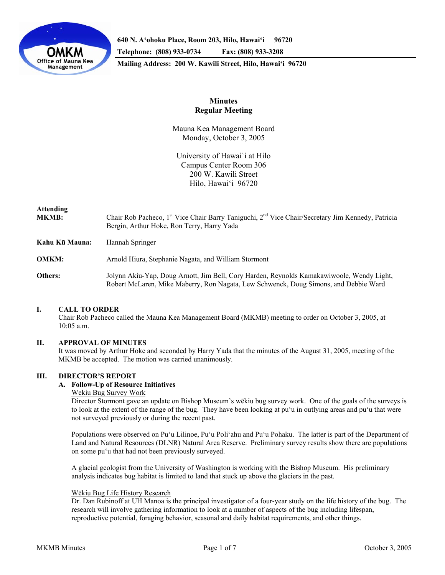

**640 N. A'ohoku Place, Room 203, Hilo, Hawai'i 96720 Telephone: (808) 933-0734 Fax: (808) 933-3208 Mailing Address: 200 W. Kawili Street, Hilo, Hawai'i 96720** 

# **Minutes Regular Meeting**

Mauna Kea Management Board Monday, October 3, 2005

University of Hawai`i at Hilo Campus Center Room 306 200 W. Kawili Street Hilo, Hawai'i 96720

# **Attending MKMB:** Chair Rob Pacheco, 1<sup>st</sup> Vice Chair Barry Taniguchi, 2<sup>nd</sup> Vice Chair/Secretary Jim Kennedy, Patricia Bergin, Arthur Hoke, Ron Terry, Harry Yada **Kahu Kū Mauna:** Hannah Springer **OMKM:** Arnold Hiura, Stephanie Nagata, and William Stormont **Others:** Jolynn Akiu-Yap, Doug Arnott, Jim Bell, Cory Harden, Reynolds Kamakawiwoole, Wendy Light, Robert McLaren, Mike Maberry, Ron Nagata, Lew Schwenck, Doug Simons, and Debbie Ward

# **I. CALL TO ORDER**

 Chair Rob Pacheco called the Mauna Kea Management Board (MKMB) meeting to order on October 3, 2005, at 10:05 a.m.

# **II. APPROVAL OF MINUTES**

 It was moved by Arthur Hoke and seconded by Harry Yada that the minutes of the August 31, 2005, meeting of the MKMB be accepted. The motion was carried unanimously.

# **III. DIRECTOR'S REPORT**

# **A. Follow-Up of Resource Initiatives**

#### Wekiu Bug Survey Work

Director Stormont gave an update on Bishop Museum's wēkiu bug survey work. One of the goals of the surveys is to look at the extent of the range of the bug. They have been looking at pu'u in outlying areas and pu'u that were not surveyed previously or during the recent past.

Populations were observed on Pu'u Lilinoe, Pu'u Poli'ahu and Pu'u Pohaku. The latter is part of the Department of Land and Natural Resources (DLNR) Natural Area Reserve. Preliminary survey results show there are populations on some pu'u that had not been previously surveyed.

A glacial geologist from the University of Washington is working with the Bishop Museum. His preliminary analysis indicates bug habitat is limited to land that stuck up above the glaciers in the past.

# Wēkiu Bug Life History Research

Dr. Dan Rubinoff at UH Manoa is the principal investigator of a four-year study on the life history of the bug. The research will involve gathering information to look at a number of aspects of the bug including lifespan, reproductive potential, foraging behavior, seasonal and daily habitat requirements, and other things.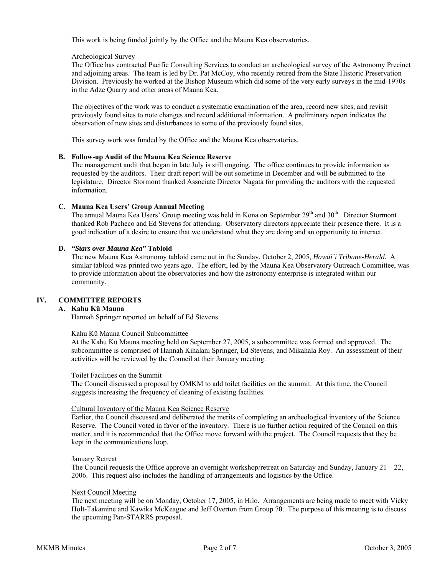This work is being funded jointly by the Office and the Mauna Kea observatories.

# Archeological Survey

The Office has contracted Pacific Consulting Services to conduct an archeological survey of the Astronomy Precinct and adjoining areas. The team is led by Dr. Pat McCoy, who recently retired from the State Historic Preservation Division. Previously he worked at the Bishop Museum which did some of the very early surveys in the mid-1970s in the Adze Quarry and other areas of Mauna Kea.

The objectives of the work was to conduct a systematic examination of the area, record new sites, and revisit previously found sites to note changes and record additional information. A preliminary report indicates the observation of new sites and disturbances to some of the previously found sites.

This survey work was funded by the Office and the Mauna Kea observatories.

## **B. Follow-up Audit of the Mauna Kea Science Reserve**

The management audit that began in late July is still ongoing. The office continues to provide information as requested by the auditors. Their draft report will be out sometime in December and will be submitted to the legislature. Director Stormont thanked Associate Director Nagata for providing the auditors with the requested information.

## **C. Mauna Kea Users' Group Annual Meeting**

The annual Mauna Kea Users' Group meeting was held in Kona on September 29<sup>th</sup> and 30<sup>th</sup>. Director Stormont thanked Rob Pacheco and Ed Stevens for attending. Observatory directors appreciate their presence there. It is a good indication of a desire to ensure that we understand what they are doing and an opportunity to interact.

## **D.** *"Stars over Mauna Kea"* **Tabloid**

The new Mauna Kea Astronomy tabloid came out in the Sunday, October 2, 2005, *Hawai`i Tribune-Herald*. A similar tabloid was printed two years ago. The effort, led by the Mauna Kea Observatory Outreach Committee, was to provide information about the observatories and how the astronomy enterprise is integrated within our community.

# **IV. COMMITTEE REPORTS**

#### **A. Kahu Kū Mauna**

Hannah Springer reported on behalf of Ed Stevens.

#### Kahu Kū Mauna Council Subcommittee

At the Kahu Kū Mauna meeting held on September 27, 2005, a subcommittee was formed and approved. The subcommittee is comprised of Hannah Kihalani Springer, Ed Stevens, and Mikahala Roy. An assessment of their activities will be reviewed by the Council at their January meeting.

#### Toilet Facilities on the Summit

The Council discussed a proposal by OMKM to add toilet facilities on the summit. At this time, the Council suggests increasing the frequency of cleaning of existing facilities.

#### Cultural Inventory of the Mauna Kea Science Reserve

Earlier, the Council discussed and deliberated the merits of completing an archeological inventory of the Science Reserve. The Council voted in favor of the inventory. There is no further action required of the Council on this matter, and it is recommended that the Office move forward with the project. The Council requests that they be kept in the communications loop.

#### January Retreat

The Council requests the Office approve an overnight workshop/retreat on Saturday and Sunday, January  $21 - 22$ , 2006. This request also includes the handling of arrangements and logistics by the Office.

#### Next Council Meeting

The next meeting will be on Monday, October 17, 2005, in Hilo. Arrangements are being made to meet with Vicky Holt-Takamine and Kawika McKeague and Jeff Overton from Group 70. The purpose of this meeting is to discuss the upcoming Pan-STARRS proposal.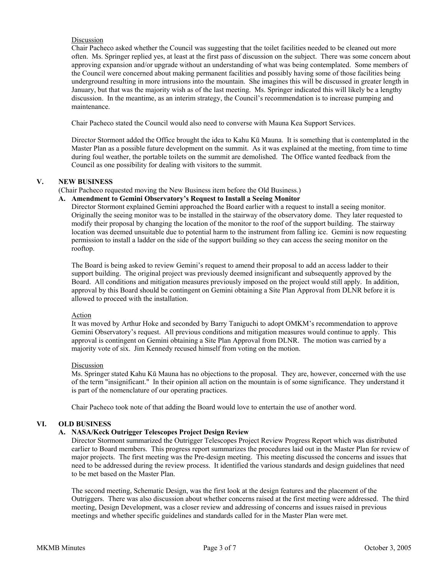# Discussion

Chair Pacheco asked whether the Council was suggesting that the toilet facilities needed to be cleaned out more often. Ms. Springer replied yes, at least at the first pass of discussion on the subject. There was some concern about approving expansion and/or upgrade without an understanding of what was being contemplated. Some members of the Council were concerned about making permanent facilities and possibly having some of those facilities being underground resulting in more intrusions into the mountain. She imagines this will be discussed in greater length in January, but that was the majority wish as of the last meeting. Ms. Springer indicated this will likely be a lengthy discussion. In the meantime, as an interim strategy, the Council's recommendation is to increase pumping and maintenance.

Chair Pacheco stated the Council would also need to converse with Mauna Kea Support Services.

Director Stormont added the Office brought the idea to Kahu Kū Mauna. It is something that is contemplated in the Master Plan as a possible future development on the summit. As it was explained at the meeting, from time to time during foul weather, the portable toilets on the summit are demolished. The Office wanted feedback from the Council as one possibility for dealing with visitors to the summit.

## **V. NEW BUSINESS**

## (Chair Pacheco requested moving the New Business item before the Old Business.)

#### **A. Amendment to Gemini Observatory's Request to Install a Seeing Monitor**

Director Stormont explained Gemini approached the Board earlier with a request to install a seeing monitor. Originally the seeing monitor was to be installed in the stairway of the observatory dome. They later requested to modify their proposal by changing the location of the monitor to the roof of the support building. The stairway location was deemed unsuitable due to potential harm to the instrument from falling ice. Gemini is now requesting permission to install a ladder on the side of the support building so they can access the seeing monitor on the rooftop.

The Board is being asked to review Gemini's request to amend their proposal to add an access ladder to their support building. The original project was previously deemed insignificant and subsequently approved by the Board. All conditions and mitigation measures previously imposed on the project would still apply. In addition, approval by this Board should be contingent on Gemini obtaining a Site Plan Approval from DLNR before it is allowed to proceed with the installation.

#### Action

It was moved by Arthur Hoke and seconded by Barry Taniguchi to adopt OMKM's recommendation to approve Gemini Observatory's request. All previous conditions and mitigation measures would continue to apply. This approval is contingent on Gemini obtaining a Site Plan Approval from DLNR. The motion was carried by a majority vote of six. Jim Kennedy recused himself from voting on the motion.

#### Discussion

Ms. Springer stated Kahu Kū Mauna has no objections to the proposal. They are, however, concerned with the use of the term "insignificant." In their opinion all action on the mountain is of some significance. They understand it is part of the nomenclature of our operating practices.

Chair Pacheco took note of that adding the Board would love to entertain the use of another word.

#### **VI. OLD BUSINESS**

#### **A. NASA/Keck Outrigger Telescopes Project Design Review**

Director Stormont summarized the Outrigger Telescopes Project Review Progress Report which was distributed earlier to Board members. This progress report summarizes the procedures laid out in the Master Plan for review of major projects. The first meeting was the Pre-design meeting. This meeting discussed the concerns and issues that need to be addressed during the review process. It identified the various standards and design guidelines that need to be met based on the Master Plan.

The second meeting, Schematic Design, was the first look at the design features and the placement of the Outriggers. There was also discussion about whether concerns raised at the first meeting were addressed. The third meeting, Design Development, was a closer review and addressing of concerns and issues raised in previous meetings and whether specific guidelines and standards called for in the Master Plan were met.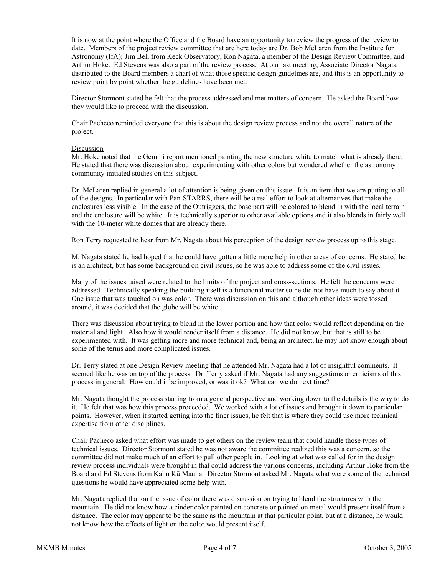It is now at the point where the Office and the Board have an opportunity to review the progress of the review to date. Members of the project review committee that are here today are Dr. Bob McLaren from the Institute for Astronomy (IfA); Jim Bell from Keck Observatory; Ron Nagata, a member of the Design Review Committee; and Arthur Hoke. Ed Stevens was also a part of the review process. At our last meeting, Associate Director Nagata distributed to the Board members a chart of what those specific design guidelines are, and this is an opportunity to review point by point whether the guidelines have been met.

Director Stormont stated he felt that the process addressed and met matters of concern. He asked the Board how they would like to proceed with the discussion.

Chair Pacheco reminded everyone that this is about the design review process and not the overall nature of the project.

#### Discussion

Mr. Hoke noted that the Gemini report mentioned painting the new structure white to match what is already there. He stated that there was discussion about experimenting with other colors but wondered whether the astronomy community initiated studies on this subject.

Dr. McLaren replied in general a lot of attention is being given on this issue. It is an item that we are putting to all of the designs. In particular with Pan-STARRS, there will be a real effort to look at alternatives that make the enclosures less visible. In the case of the Outriggers, the base part will be colored to blend in with the local terrain and the enclosure will be white. It is technically superior to other available options and it also blends in fairly well with the 10-meter white domes that are already there.

Ron Terry requested to hear from Mr. Nagata about his perception of the design review process up to this stage.

M. Nagata stated he had hoped that he could have gotten a little more help in other areas of concerns. He stated he is an architect, but has some background on civil issues, so he was able to address some of the civil issues.

Many of the issues raised were related to the limits of the project and cross-sections. He felt the concerns were addressed. Technically speaking the building itself is a functional matter so he did not have much to say about it. One issue that was touched on was color. There was discussion on this and although other ideas were tossed around, it was decided that the globe will be white.

There was discussion about trying to blend in the lower portion and how that color would reflect depending on the material and light. Also how it would render itself from a distance. He did not know, but that is still to be experimented with. It was getting more and more technical and, being an architect, he may not know enough about some of the terms and more complicated issues.

Dr. Terry stated at one Design Review meeting that he attended Mr. Nagata had a lot of insightful comments. It seemed like he was on top of the process. Dr. Terry asked if Mr. Nagata had any suggestions or criticisms of this process in general. How could it be improved, or was it ok? What can we do next time?

Mr. Nagata thought the process starting from a general perspective and working down to the details is the way to do it. He felt that was how this process proceeded. We worked with a lot of issues and brought it down to particular points. However, when it started getting into the finer issues, he felt that is where they could use more technical expertise from other disciplines.

Chair Pacheco asked what effort was made to get others on the review team that could handle those types of technical issues. Director Stormont stated he was not aware the committee realized this was a concern, so the committee did not make much of an effort to pull other people in. Looking at what was called for in the design review process individuals were brought in that could address the various concerns, including Arthur Hoke from the Board and Ed Stevens from Kahu Kū Mauna. Director Stormont asked Mr. Nagata what were some of the technical questions he would have appreciated some help with.

Mr. Nagata replied that on the issue of color there was discussion on trying to blend the structures with the mountain. He did not know how a cinder color painted on concrete or painted on metal would present itself from a distance. The color may appear to be the same as the mountain at that particular point, but at a distance, he would not know how the effects of light on the color would present itself.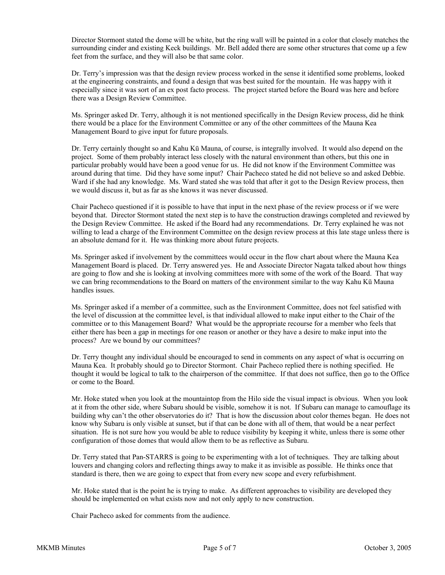Director Stormont stated the dome will be white, but the ring wall will be painted in a color that closely matches the surrounding cinder and existing Keck buildings. Mr. Bell added there are some other structures that come up a few feet from the surface, and they will also be that same color.

Dr. Terry's impression was that the design review process worked in the sense it identified some problems, looked at the engineering constraints, and found a design that was best suited for the mountain. He was happy with it especially since it was sort of an ex post facto process. The project started before the Board was here and before there was a Design Review Committee.

Ms. Springer asked Dr. Terry, although it is not mentioned specifically in the Design Review process, did he think there would be a place for the Environment Committee or any of the other committees of the Mauna Kea Management Board to give input for future proposals.

Dr. Terry certainly thought so and Kahu Kū Mauna, of course, is integrally involved. It would also depend on the project. Some of them probably interact less closely with the natural environment than others, but this one in particular probably would have been a good venue for us. He did not know if the Environment Committee was around during that time. Did they have some input? Chair Pacheco stated he did not believe so and asked Debbie. Ward if she had any knowledge. Ms. Ward stated she was told that after it got to the Design Review process, then we would discuss it, but as far as she knows it was never discussed.

Chair Pacheco questioned if it is possible to have that input in the next phase of the review process or if we were beyond that. Director Stormont stated the next step is to have the construction drawings completed and reviewed by the Design Review Committee. He asked if the Board had any recommendations. Dr. Terry explained he was not willing to lead a charge of the Environment Committee on the design review process at this late stage unless there is an absolute demand for it. He was thinking more about future projects.

Ms. Springer asked if involvement by the committees would occur in the flow chart about where the Mauna Kea Management Board is placed. Dr. Terry answered yes. He and Associate Director Nagata talked about how things are going to flow and she is looking at involving committees more with some of the work of the Board. That way we can bring recommendations to the Board on matters of the environment similar to the way Kahu Kū Mauna handles issues.

Ms. Springer asked if a member of a committee, such as the Environment Committee, does not feel satisfied with the level of discussion at the committee level, is that individual allowed to make input either to the Chair of the committee or to this Management Board? What would be the appropriate recourse for a member who feels that either there has been a gap in meetings for one reason or another or they have a desire to make input into the process? Are we bound by our committees?

Dr. Terry thought any individual should be encouraged to send in comments on any aspect of what is occurring on Mauna Kea. It probably should go to Director Stormont. Chair Pacheco replied there is nothing specified. He thought it would be logical to talk to the chairperson of the committee. If that does not suffice, then go to the Office or come to the Board.

Mr. Hoke stated when you look at the mountaintop from the Hilo side the visual impact is obvious. When you look at it from the other side, where Subaru should be visible, somehow it is not. If Subaru can manage to camouflage its building why can't the other observatories do it? That is how the discussion about color themes began. He does not know why Subaru is only visible at sunset, but if that can be done with all of them, that would be a near perfect situation. He is not sure how you would be able to reduce visibility by keeping it white, unless there is some other configuration of those domes that would allow them to be as reflective as Subaru.

Dr. Terry stated that Pan-STARRS is going to be experimenting with a lot of techniques. They are talking about louvers and changing colors and reflecting things away to make it as invisible as possible. He thinks once that standard is there, then we are going to expect that from every new scope and every refurbishment.

Mr. Hoke stated that is the point he is trying to make. As different approaches to visibility are developed they should be implemented on what exists now and not only apply to new construction.

Chair Pacheco asked for comments from the audience.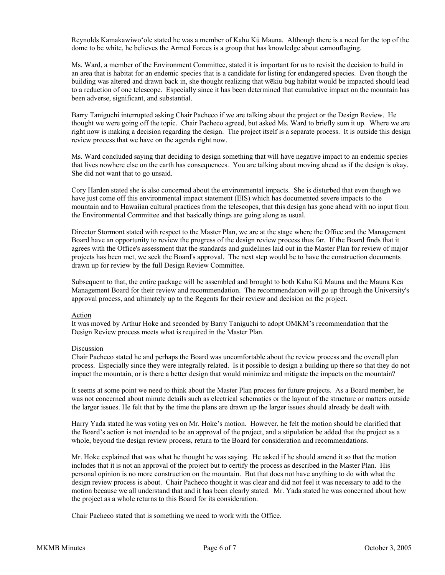Reynolds Kamakawiwo'ole stated he was a member of Kahu Kū Mauna. Although there is a need for the top of the dome to be white, he believes the Armed Forces is a group that has knowledge about camouflaging.

Ms. Ward, a member of the Environment Committee, stated it is important for us to revisit the decision to build in an area that is habitat for an endemic species that is a candidate for listing for endangered species. Even though the building was altered and drawn back in, she thought realizing that wēkiu bug habitat would be impacted should lead to a reduction of one telescope. Especially since it has been determined that cumulative impact on the mountain has been adverse, significant, and substantial.

Barry Taniguchi interrupted asking Chair Pacheco if we are talking about the project or the Design Review. He thought we were going off the topic. Chair Pacheco agreed, but asked Ms. Ward to briefly sum it up. Where we are right now is making a decision regarding the design. The project itself is a separate process. It is outside this design review process that we have on the agenda right now.

Ms. Ward concluded saying that deciding to design something that will have negative impact to an endemic species that lives nowhere else on the earth has consequences. You are talking about moving ahead as if the design is okay. She did not want that to go unsaid.

Cory Harden stated she is also concerned about the environmental impacts. She is disturbed that even though we have just come off this environmental impact statement (EIS) which has documented severe impacts to the mountain and to Hawaiian cultural practices from the telescopes, that this design has gone ahead with no input from the Environmental Committee and that basically things are going along as usual.

Director Stormont stated with respect to the Master Plan, we are at the stage where the Office and the Management Board have an opportunity to review the progress of the design review process thus far. If the Board finds that it agrees with the Office's assessment that the standards and guidelines laid out in the Master Plan for review of major projects has been met, we seek the Board's approval. The next step would be to have the construction documents drawn up for review by the full Design Review Committee.

Subsequent to that, the entire package will be assembled and brought to both Kahu Kū Mauna and the Mauna Kea Management Board for their review and recommendation. The recommendation will go up through the University's approval process, and ultimately up to the Regents for their review and decision on the project.

#### Action

It was moved by Arthur Hoke and seconded by Barry Taniguchi to adopt OMKM's recommendation that the Design Review process meets what is required in the Master Plan.

# Discussion

Chair Pacheco stated he and perhaps the Board was uncomfortable about the review process and the overall plan process. Especially since they were integrally related. Is it possible to design a building up there so that they do not impact the mountain, or is there a better design that would minimize and mitigate the impacts on the mountain?

It seems at some point we need to think about the Master Plan process for future projects. As a Board member, he was not concerned about minute details such as electrical schematics or the layout of the structure or matters outside the larger issues. He felt that by the time the plans are drawn up the larger issues should already be dealt with.

Harry Yada stated he was voting yes on Mr. Hoke's motion. However, he felt the motion should be clarified that the Board's action is not intended to be an approval of the project, and a stipulation be added that the project as a whole, beyond the design review process, return to the Board for consideration and recommendations.

Mr. Hoke explained that was what he thought he was saying. He asked if he should amend it so that the motion includes that it is not an approval of the project but to certify the process as described in the Master Plan. His personal opinion is no more construction on the mountain. But that does not have anything to do with what the design review process is about. Chair Pacheco thought it was clear and did not feel it was necessary to add to the motion because we all understand that and it has been clearly stated. Mr. Yada stated he was concerned about how the project as a whole returns to this Board for its consideration.

Chair Pacheco stated that is something we need to work with the Office.